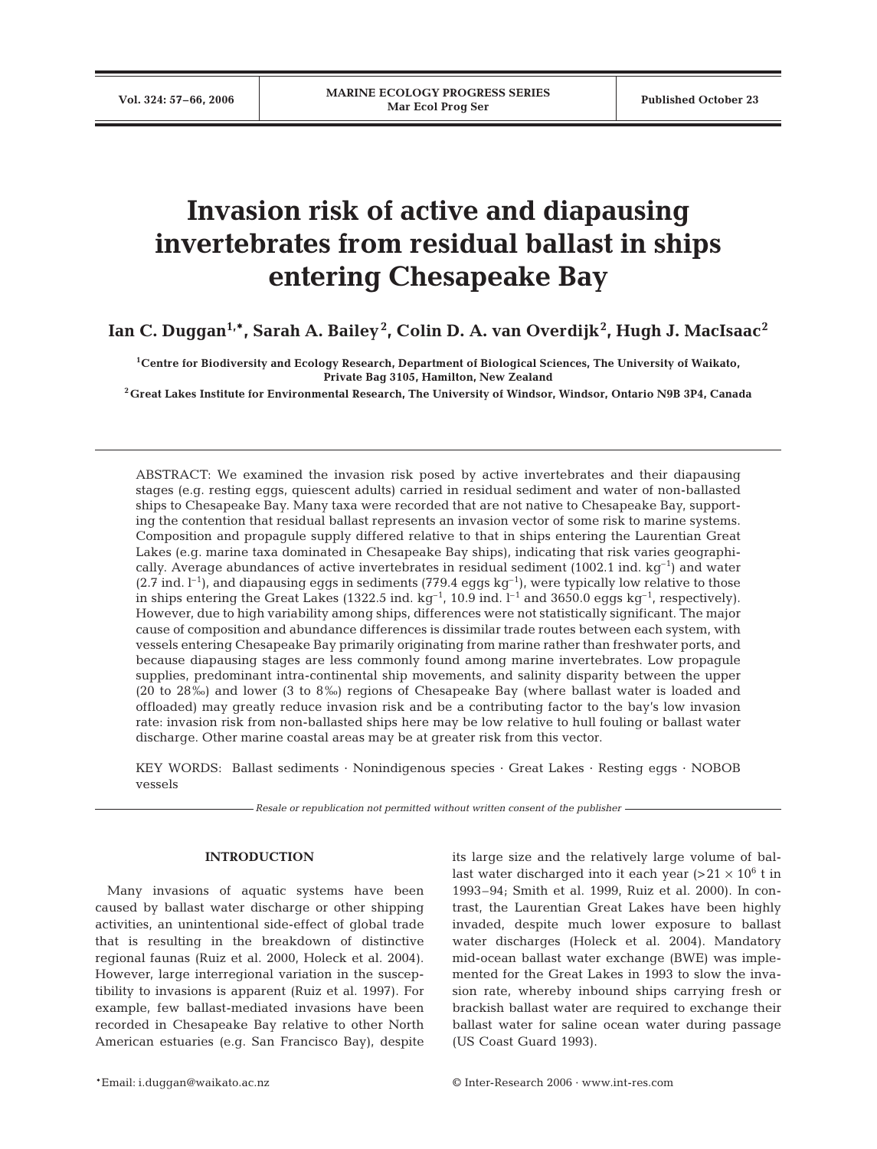# **Invasion risk of active and diapausing invertebrates from residual ballast in ships entering Chesapeake Bay**

Ian C. Duggan<sup>1,</sup>\*, Sarah A. Bailey<sup>2</sup>, Colin D. A. van Overdijk<sup>2</sup>, Hugh J. MacIsaac<sup>2</sup>

**1Centre for Biodiversity and Ecology Research, Department of Biological Sciences, The University of Waikato, Private Bag 3105, Hamilton, New Zealand**

**2Great Lakes Institute for Environmental Research, The University of Windsor, Windsor, Ontario N9B 3P4, Canada**

ABSTRACT: We examined the invasion risk posed by active invertebrates and their diapausing stages (e.g. resting eggs, quiescent adults) carried in residual sediment and water of non-ballasted ships to Chesapeake Bay. Many taxa were recorded that are not native to Chesapeake Bay, supporting the contention that residual ballast represents an invasion vector of some risk to marine systems. Composition and propagule supply differed relative to that in ships entering the Laurentian Great Lakes (e.g. marine taxa dominated in Chesapeake Bay ships), indicating that risk varies geographically. Average abundances of active invertebrates in residual sediment (1002.1 ind.  $kg^{-1}$ ) and water  $(2.7 \text{ ind. } 1^{-1})$ , and diapausing eggs in sediments  $(779.4 \text{ eggs kg}^{-1})$ , were typically low relative to those in ships entering the Great Lakes (1322.5 ind.  $kq^{-1}$ , 10.9 ind. l<sup>-1</sup> and 3650.0 eggs kg<sup>-1</sup>, respectively). However, due to high variability among ships, differences were not statistically significant. The major cause of composition and abundance differences is dissimilar trade routes between each system, with vessels entering Chesapeake Bay primarily originating from marine rather than freshwater ports, and because diapausing stages are less commonly found among marine invertebrates. Low propagule supplies, predominant intra-continental ship movements, and salinity disparity between the upper (20 to 28‰) and lower (3 to 8‰) regions of Chesapeake Bay (where ballast water is loaded and offloaded) may greatly reduce invasion risk and be a contributing factor to the bay's low invasion rate: invasion risk from non-ballasted ships here may be low relative to hull fouling or ballast water discharge. Other marine coastal areas may be at greater risk from this vector.

KEY WORDS: Ballast sediments · Nonindigenous species · Great Lakes · Resting eggs · NOBOB vessels

*Resale or republication not permitted without written consent of the publisher*

# **INTRODUCTION**

Many invasions of aquatic systems have been caused by ballast water discharge or other shipping activities, an unintentional side-effect of global trade that is resulting in the breakdown of distinctive regional faunas (Ruiz et al. 2000, Holeck et al. 2004). However, large interregional variation in the susceptibility to invasions is apparent (Ruiz et al. 1997). For example, few ballast-mediated invasions have been recorded in Chesapeake Bay relative to other North American estuaries (e.g. San Francisco Bay), despite its large size and the relatively large volume of ballast water discharged into it each year  $(>21 \times 10^6$  t in 1993–94; Smith et al. 1999, Ruiz et al. 2000). In contrast, the Laurentian Great Lakes have been highly invaded, despite much lower exposure to ballast water discharges (Holeck et al. 2004). Mandatory mid-ocean ballast water exchange (BWE) was implemented for the Great Lakes in 1993 to slow the invasion rate, whereby inbound ships carrying fresh or brackish ballast water are required to exchange their ballast water for saline ocean water during passage (US Coast Guard 1993).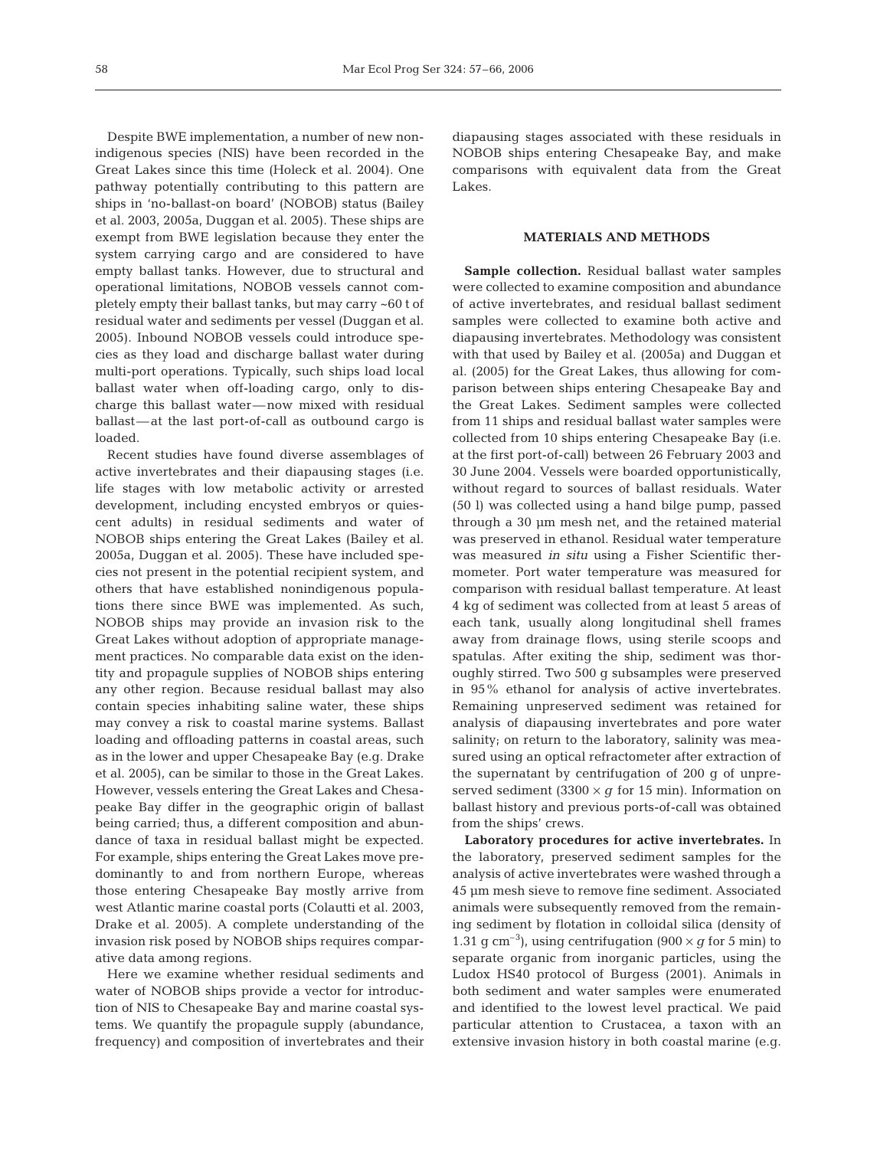Despite BWE implementation, a number of new nonindigenous species (NIS) have been recorded in the Great Lakes since this time (Holeck et al. 2004). One pathway potentially contributing to this pattern are ships in 'no-ballast-on board' (NOBOB) status (Bailey et al. 2003, 2005a, Duggan et al. 2005). These ships are exempt from BWE legislation because they enter the system carrying cargo and are considered to have empty ballast tanks. However, due to structural and operational limitations, NOBOB vessels cannot completely empty their ballast tanks, but may carry ~60 t of residual water and sediments per vessel (Duggan et al. 2005). Inbound NOBOB vessels could introduce species as they load and discharge ballast water during multi-port operations. Typically, such ships load local ballast water when off-loading cargo, only to discharge this ballast water—now mixed with residual ballast—at the last port-of-call as outbound cargo is loaded.

Recent studies have found diverse assemblages of active invertebrates and their diapausing stages (i.e. life stages with low metabolic activity or arrested development, including encysted embryos or quiescent adults) in residual sediments and water of NOBOB ships entering the Great Lakes (Bailey et al. 2005a, Duggan et al. 2005). These have included species not present in the potential recipient system, and others that have established nonindigenous populations there since BWE was implemented. As such, NOBOB ships may provide an invasion risk to the Great Lakes without adoption of appropriate management practices. No comparable data exist on the identity and propagule supplies of NOBOB ships entering any other region. Because residual ballast may also contain species inhabiting saline water, these ships may convey a risk to coastal marine systems. Ballast loading and offloading patterns in coastal areas, such as in the lower and upper Chesapeake Bay (e.g. Drake et al. 2005), can be similar to those in the Great Lakes. However, vessels entering the Great Lakes and Chesapeake Bay differ in the geographic origin of ballast being carried; thus, a different composition and abundance of taxa in residual ballast might be expected. For example, ships entering the Great Lakes move predominantly to and from northern Europe, whereas those entering Chesapeake Bay mostly arrive from west Atlantic marine coastal ports (Colautti et al. 2003, Drake et al. 2005). A complete understanding of the invasion risk posed by NOBOB ships requires comparative data among regions.

Here we examine whether residual sediments and water of NOBOB ships provide a vector for introduction of NIS to Chesapeake Bay and marine coastal systems. We quantify the propagule supply (abundance, frequency) and composition of invertebrates and their diapausing stages associated with these residuals in NOBOB ships entering Chesapeake Bay, and make comparisons with equivalent data from the Great Lakes.

### **MATERIALS AND METHODS**

**Sample collection.** Residual ballast water samples were collected to examine composition and abundance of active invertebrates, and residual ballast sediment samples were collected to examine both active and diapausing invertebrates. Methodology was consistent with that used by Bailey et al. (2005a) and Duggan et al. (2005) for the Great Lakes, thus allowing for comparison between ships entering Chesapeake Bay and the Great Lakes. Sediment samples were collected from 11 ships and residual ballast water samples were collected from 10 ships entering Chesapeake Bay (i.e. at the first port-of-call) between 26 February 2003 and 30 June 2004. Vessels were boarded opportunistically, without regard to sources of ballast residuals. Water (50 l) was collected using a hand bilge pump, passed through a 30 µm mesh net, and the retained material was preserved in ethanol. Residual water temperature was measured *in situ* using a Fisher Scientific thermometer. Port water temperature was measured for comparison with residual ballast temperature. At least 4 kg of sediment was collected from at least 5 areas of each tank, usually along longitudinal shell frames away from drainage flows, using sterile scoops and spatulas. After exiting the ship, sediment was thoroughly stirred. Two 500 g subsamples were preserved in 95% ethanol for analysis of active invertebrates. Remaining unpreserved sediment was retained for analysis of diapausing invertebrates and pore water salinity; on return to the laboratory, salinity was measured using an optical refractometer after extraction of the supernatant by centrifugation of 200 g of unpreserved sediment  $(3300 \times q \text{ for } 15 \text{ min})$ . Information on ballast history and previous ports-of-call was obtained from the ships' crews.

**Laboratory procedures for active invertebrates.** In the laboratory, preserved sediment samples for the analysis of active invertebrates were washed through a 45 µm mesh sieve to remove fine sediment. Associated animals were subsequently removed from the remaining sediment by flotation in colloidal silica (density of 1.31 g cm<sup>-3</sup>), using centrifugation (900  $\times$  *g* for 5 min) to separate organic from inorganic particles, using the Ludox HS40 protocol of Burgess (2001). Animals in both sediment and water samples were enumerated and identified to the lowest level practical. We paid particular attention to Crustacea, a taxon with an extensive invasion history in both coastal marine (e.g.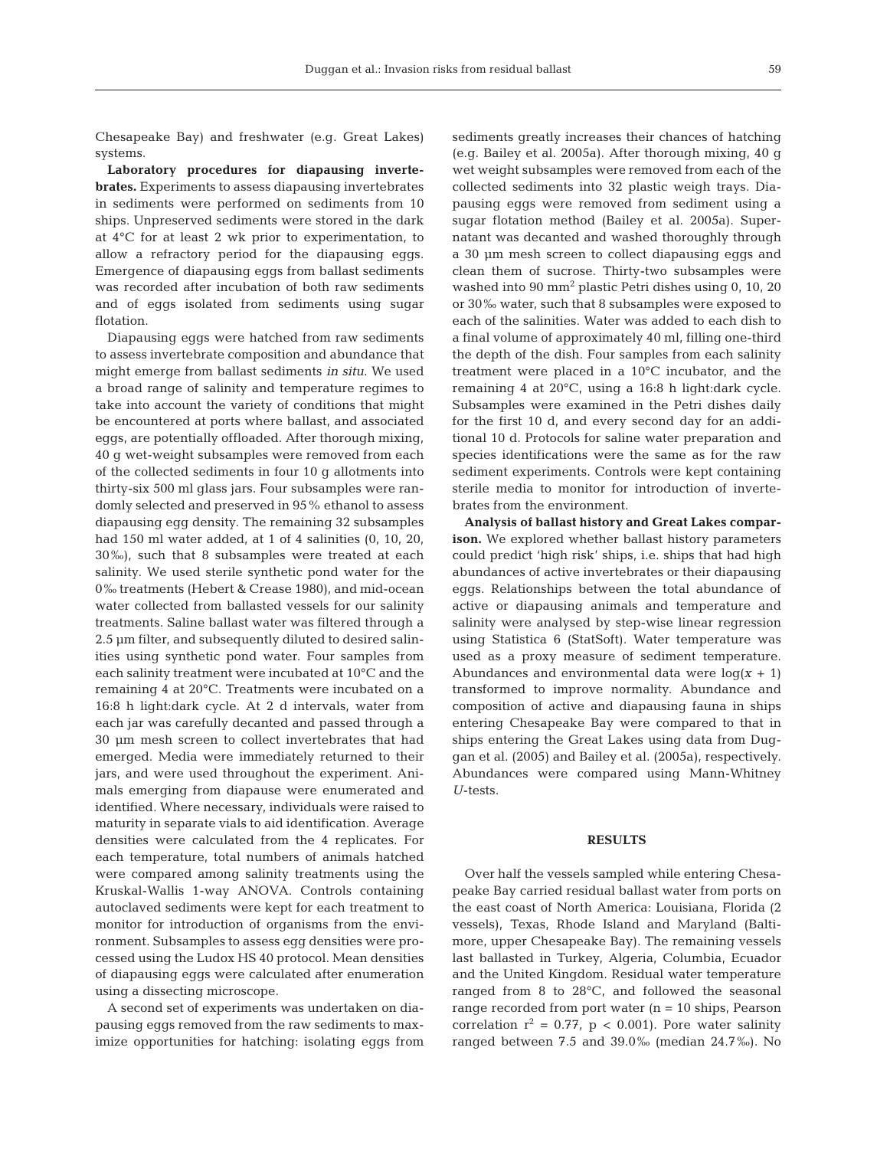Chesapeake Bay) and freshwater (e.g. Great Lakes) systems.

**Laboratory procedures for diapausing invertebrates.** Experiments to assess diapausing invertebrates in sediments were performed on sediments from 10 ships. Unpreserved sediments were stored in the dark at 4°C for at least 2 wk prior to experimentation, to allow a refractory period for the diapausing eggs. Emergence of diapausing eggs from ballast sediments was recorded after incubation of both raw sediments and of eggs isolated from sediments using sugar flotation.

Diapausing eggs were hatched from raw sediments to assess invertebrate composition and abundance that might emerge from ballast sediments *in situ*. We used a broad range of salinity and temperature regimes to take into account the variety of conditions that might be encountered at ports where ballast, and associated eggs, are potentially offloaded. After thorough mixing, 40 g wet-weight subsamples were removed from each of the collected sediments in four 10 g allotments into thirty-six 500 ml glass jars. Four subsamples were randomly selected and preserved in 95% ethanol to assess diapausing egg density. The remaining 32 subsamples had 150 ml water added, at 1 of 4 salinities  $(0, 10, 20, 10)$ 30‰), such that 8 subsamples were treated at each salinity. We used sterile synthetic pond water for the 0‰ treatments (Hebert & Crease 1980), and mid-ocean water collected from ballasted vessels for our salinity treatments. Saline ballast water was filtered through a 2.5 µm filter, and subsequently diluted to desired salinities using synthetic pond water. Four samples from each salinity treatment were incubated at 10°C and the remaining 4 at 20°C. Treatments were incubated on a 16:8 h light:dark cycle. At 2 d intervals, water from each jar was carefully decanted and passed through a 30 µm mesh screen to collect invertebrates that had emerged. Media were immediately returned to their jars, and were used throughout the experiment. Animals emerging from diapause were enumerated and identified. Where necessary, individuals were raised to maturity in separate vials to aid identification. Average densities were calculated from the 4 replicates. For each temperature, total numbers of animals hatched were compared among salinity treatments using the Kruskal-Wallis 1-way ANOVA. Controls containing autoclaved sediments were kept for each treatment to monitor for introduction of organisms from the environment. Subsamples to assess egg densities were processed using the Ludox HS 40 protocol. Mean densities of diapausing eggs were calculated after enumeration using a dissecting microscope.

A second set of experiments was undertaken on diapausing eggs removed from the raw sediments to maximize opportunities for hatching: isolating eggs from sediments greatly increases their chances of hatching (e.g. Bailey et al. 2005a). After thorough mixing, 40 g wet weight subsamples were removed from each of the collected sediments into 32 plastic weigh trays. Diapausing eggs were removed from sediment using a sugar flotation method (Bailey et al. 2005a). Supernatant was decanted and washed thoroughly through a 30 µm mesh screen to collect diapausing eggs and clean them of sucrose. Thirty-two subsamples were washed into 90 mm<sup>2</sup> plastic Petri dishes using 0, 10, 20 or 30‰ water, such that 8 subsamples were exposed to each of the salinities. Water was added to each dish to a final volume of approximately 40 ml, filling one-third the depth of the dish. Four samples from each salinity treatment were placed in a 10°C incubator, and the remaining 4 at 20°C, using a 16:8 h light:dark cycle. Subsamples were examined in the Petri dishes daily for the first 10 d, and every second day for an additional 10 d. Protocols for saline water preparation and species identifications were the same as for the raw sediment experiments. Controls were kept containing sterile media to monitor for introduction of invertebrates from the environment.

**Analysis of ballast history and Great Lakes comparison.** We explored whether ballast history parameters could predict 'high risk' ships, i.e. ships that had high abundances of active invertebrates or their diapausing eggs. Relationships between the total abundance of active or diapausing animals and temperature and salinity were analysed by step-wise linear regression using Statistica 6 (StatSoft). Water temperature was used as a proxy measure of sediment temperature. Abundances and environmental data were  $log(x + 1)$ transformed to improve normality. Abundance and composition of active and diapausing fauna in ships entering Chesapeake Bay were compared to that in ships entering the Great Lakes using data from Duggan et al. (2005) and Bailey et al. (2005a), respectively. Abundances were compared using Mann-Whitney *U*-tests.

#### **RESULTS**

Over half the vessels sampled while entering Chesapeake Bay carried residual ballast water from ports on the east coast of North America: Louisiana, Florida (2 vessels), Texas, Rhode Island and Maryland (Baltimore, upper Chesapeake Bay). The remaining vessels last ballasted in Turkey, Algeria, Columbia, Ecuador and the United Kingdom. Residual water temperature ranged from 8 to 28°C, and followed the seasonal range recorded from port water  $(n = 10 \text{ ships}, \text{Pearson})$ correlation  $r^2 = 0.77$ ,  $p < 0.001$ ). Pore water salinity ranged between 7.5 and 39.0‰ (median 24.7‰). No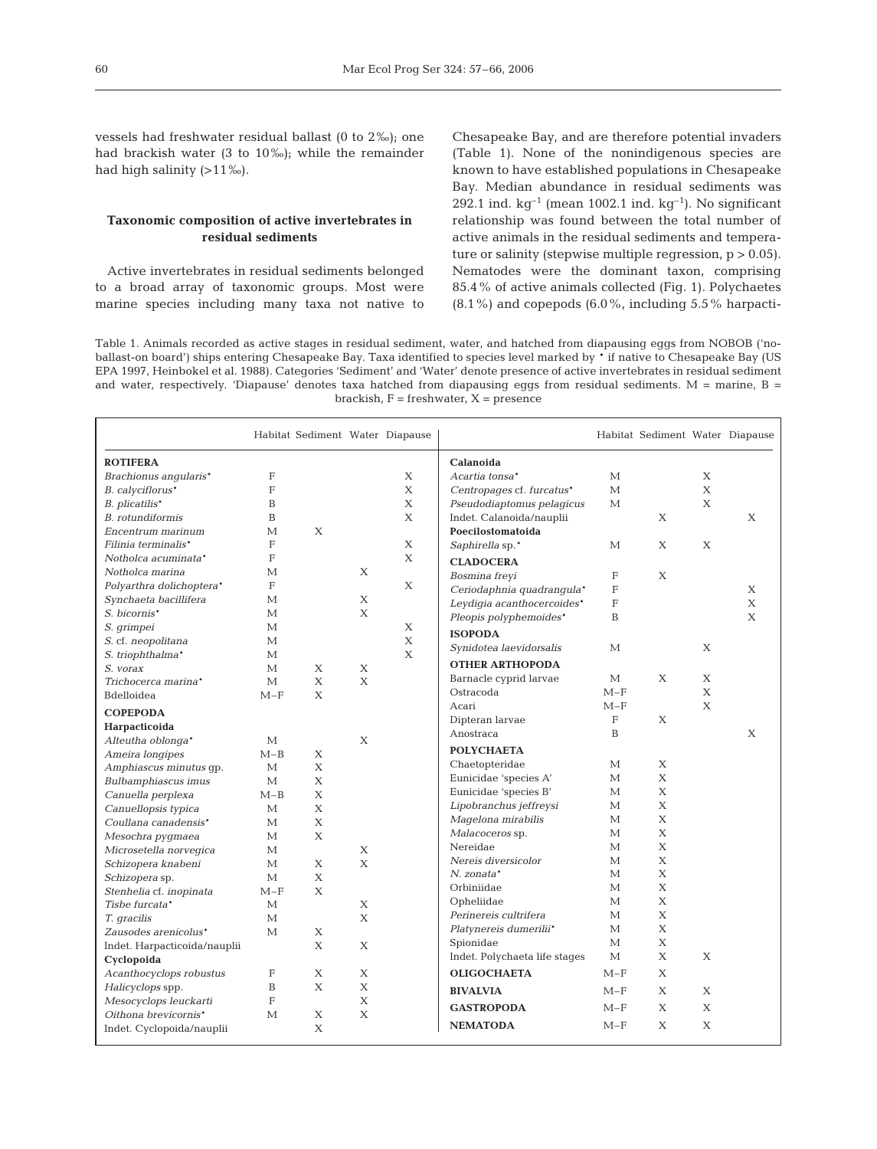vessels had freshwater residual ballast (0 to 2‰); one had brackish water (3 to 10‰); while the remainder had high salinity (>11‰).

# **Taxonomic composition of active invertebrates in residual sediments**

Active invertebrates in residual sediments belonged to a broad array of taxonomic groups. Most were marine species including many taxa not native to Chesapeake Bay, and are therefore potential invaders (Table 1). None of the nonindigenous species are known to have established populations in Chesapeake Bay. Median abundance in residual sediments was 292.1 ind.  $kg^{-1}$  (mean 1002.1 ind.  $kg^{-1}$ ). No significant relationship was found between the total number of active animals in the residual sediments and temperature or salinity (stepwise multiple regression,  $p > 0.05$ ). Nematodes were the dominant taxon, comprising 85.4% of active animals collected (Fig. 1). Polychaetes  $(8.1\%)$  and copepods  $(6.0\%$ , including 5.5% harpacti-

Table 1. Animals recorded as active stages in residual sediment, water, and hatched from diapausing eggs from NOBOB ('noballast-on board') ships entering Chesapeake Bay. Taxa identified to species level marked by \* if native to Chesapeake Bay (US EPA 1997, Heinbokel et al. 1988). Categories 'Sediment' and 'Water' denote presence of active invertebrates in residual sediment and water, respectively. 'Diapause' denotes taxa hatched from diapausing eggs from residual sediments. M = marine, B = brackish,  $F =$  freshwater,  $X =$  presence

|                              |              | Habitat Sediment Water Diapause |              |             |                               |              | Habitat Sediment Water Diapause |   |              |
|------------------------------|--------------|---------------------------------|--------------|-------------|-------------------------------|--------------|---------------------------------|---|--------------|
| <b>ROTIFERA</b>              |              |                                 |              |             | Calanoida                     |              |                                 |   |              |
| Brachionus angularis*        | $\mathbf{F}$ |                                 |              | X           | Acartia tonsa*                | M            |                                 | X |              |
| B. calyciflorus*             | F            |                                 |              | $\mathbf X$ | Centropages cf. furcatus*     | $\mathbf{M}$ |                                 | X |              |
| B. plicatilis*               | B            |                                 |              | X           | Pseudodiaptomus pelagicus     | $\mathbf{M}$ |                                 | X |              |
| B. rotundiformis             | B            |                                 |              | X           | Indet. Calanoida/nauplii      |              | X                               |   | X            |
| Encentrum marinum            | М            | X                               |              |             | Poecilostomatoida             |              |                                 |   |              |
| Filinia terminalis*          | F            |                                 |              | X           | Saphirella sp.*               | M            | X                               | X |              |
| Notholca acuminata*          | F            |                                 |              | X           | <b>CLADOCERA</b>              |              |                                 |   |              |
| Notholca marina              | M            |                                 | X            |             | Bosmina freyi                 | F            | X                               |   |              |
| Polyarthra dolichoptera*     | F            |                                 |              | $\mathbf X$ | Ceriodaphnia quadrangula*     | F            |                                 |   | X            |
| Synchaeta bacillifera        | М            |                                 | X            |             | Leydigia acanthocercoides*    | $\mathbf{F}$ |                                 |   | $\mathbf X$  |
| S. bicornis*                 | М            |                                 | X            |             | Pleopis polyphemoides*        | B            |                                 |   | $\mathbf{X}$ |
| S. grimpei                   | М            |                                 |              | X           |                               |              |                                 |   |              |
| S. cf. neopolitana           | М            |                                 |              | X           | <b>ISOPODA</b>                |              |                                 |   |              |
| S. triophthalma*             | М            |                                 |              | X           | Synidotea laevidorsalis       | M            |                                 | X |              |
| S. vorax                     | М            | Χ                               | X            |             | <b>OTHER ARTHOPODA</b>        |              |                                 |   |              |
| Trichocerca marina*          | $\mathbf{M}$ | X                               | $\mathbf{X}$ |             | Barnacle cyprid larvae        | $\mathbf{M}$ | X                               | X |              |
| Bdelloidea                   | $M-F$        | X                               |              |             | Ostracoda                     | $M-F$        |                                 | X |              |
| <b>COPEPODA</b>              |              |                                 |              |             | Acari                         | $M-F$        |                                 | Χ |              |
| Harpacticoida                |              |                                 |              |             | Dipteran larvae               | $\mathbf F$  | X                               |   |              |
| Alteutha oblonga*            | М            |                                 | X            |             | Anostraca                     | B            |                                 |   | X            |
| Ameira longipes              | $M-B$        | Χ                               |              |             | <b>POLYCHAETA</b>             |              |                                 |   |              |
| Amphiascus minutus qp.       | М            | X                               |              |             | Chaetopteridae                | M            | X                               |   |              |
| <b>Bulbamphiascus</b> imus   | $\mathbf{M}$ | X                               |              |             | Eunicidae 'species A'         | $\mathbf{M}$ | X                               |   |              |
| Canuella perplexa            | $M-B$        | X                               |              |             | Eunicidae 'species B'         | М            | X                               |   |              |
| Canuellopsis typica          | M            | X                               |              |             | Lipobranchus jeffreysi        | М            | X                               |   |              |
| Coullana canadensis*         | М            | Х                               |              |             | Magelona mirabilis            | M            | X                               |   |              |
| Mesochra pygmaea             | М            | X                               |              |             | Malacoceros sp.               | M            | X                               |   |              |
| Microsetella norvegica       | М            |                                 | Χ            |             | Nereidae                      | M            | X                               |   |              |
| Schizopera knabeni           | М            | Х                               | $\mathbf{X}$ |             | Nereis diversicolor           | $\mathbf{M}$ | X                               |   |              |
| Schizopera sp.               | М            | X                               |              |             | N. zonata*                    | M            | $\mathbf{X}$                    |   |              |
| Stenhelia cf. inopinata      | $M-F$        | Χ                               |              |             | Orbiniidae                    | M            | X                               |   |              |
| Tisbe furcata*               | М            |                                 | X            |             | Opheliidae                    | M            | X                               |   |              |
| T. gracilis                  | М            |                                 | X            |             | Perinereis cultrifera         | М            | X                               |   |              |
| Zausodes arenicolus*         | М            | Χ                               |              |             | Platynereis dumerilii*        | M            | X                               |   |              |
| Indet. Harpacticoida/nauplii |              | X                               | X            |             | Spionidae                     | $\mathbf{M}$ | X                               |   |              |
| Cyclopoida                   |              |                                 |              |             | Indet. Polychaeta life stages | $\mathbf{M}$ | X                               | X |              |
| Acanthocyclops robustus      | F            | Х                               | X            |             | <b>OLIGOCHAETA</b>            | $M-F$        | X                               |   |              |
| Halicyclops spp.             | B            | X                               | $\mathbf{X}$ |             |                               |              |                                 |   |              |
| Mesocyclops leuckarti        | F            |                                 | X            |             | <b>BIVALVIA</b>               | $M-F$        | X                               | X |              |
| Oithona brevicornis*         | M            | Χ                               | X            |             | <b>GASTROPODA</b>             | $M-F$        | X                               | X |              |
| Indet. Cyclopoida/nauplii    |              | X                               |              |             | <b>NEMATODA</b>               | $M-F$        | X                               | Χ |              |
|                              |              |                                 |              |             |                               |              |                                 |   |              |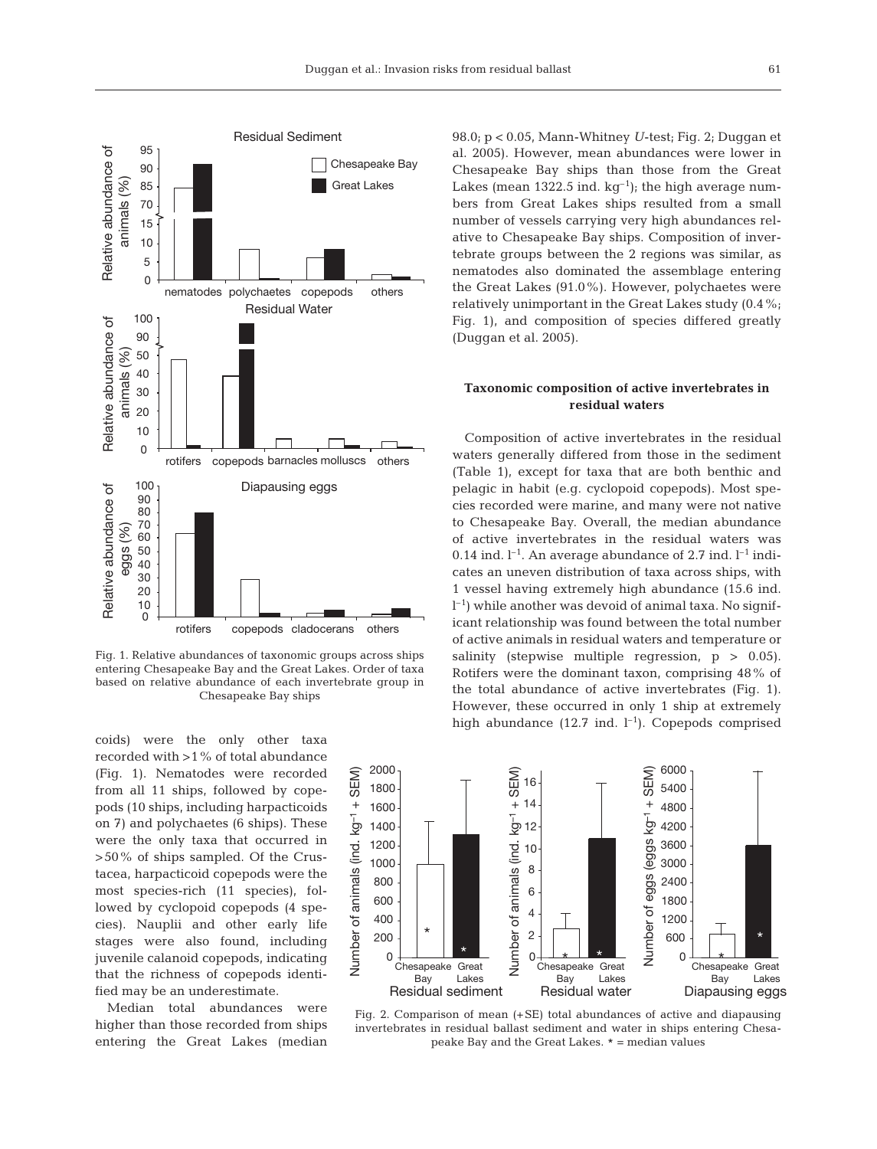

Fig. 1. Relative abundances of taxonomic groups across ships entering Chesapeake Bay and the Great Lakes. Order of taxa based on relative abundance of each invertebrate group in Chesapeake Bay ships

coids) were the only other taxa recorded with >1% of total abundance (Fig. 1). Nematodes were recorded from all 11 ships, followed by copepods (10 ships, including harpacticoids on 7) and polychaetes (6 ships). These were the only taxa that occurred in >50% of ships sampled. Of the Crustacea, harpacticoid copepods were the most species-rich (11 species), followed by cyclopoid copepods (4 species). Nauplii and other early life stages were also found, including juvenile calanoid copepods, indicating that the richness of copepods identified may be an underestimate.

Median total abundances were higher than those recorded from ships entering the Great Lakes (median

98.0; p < 0.05, Mann-Whitney *U*-test; Fig. 2; Duggan et al. 2005). However, mean abundances were lower in Chesapeake Bay ships than those from the Great Lakes (mean 1322.5 ind.  $kg^{-1}$ ); the high average numbers from Great Lakes ships resulted from a small number of vessels carrying very high abundances relative to Chesapeake Bay ships. Composition of invertebrate groups between the 2 regions was similar, as nematodes also dominated the assemblage entering the Great Lakes (91.0%). However, polychaetes were relatively unimportant in the Great Lakes study (0.4%; Fig. 1), and composition of species differed greatly (Duggan et al. 2005).

# **Taxonomic composition of active invertebrates in residual waters**

Composition of active invertebrates in the residual waters generally differed from those in the sediment (Table 1), except for taxa that are both benthic and pelagic in habit (e.g. cyclopoid copepods). Most species recorded were marine, and many were not native to Chesapeake Bay. Overall, the median abundance of active invertebrates in the residual waters was 0.14 ind.  $l^{-1}$ . An average abundance of 2.7 ind.  $l^{-1}$  indicates an uneven distribution of taxa across ships, with 1 vessel having extremely high abundance (15.6 ind.  $l^{-1}$ ) while another was devoid of animal taxa. No significant relationship was found between the total number of active animals in residual waters and temperature or salinity (stepwise multiple regression,  $p > 0.05$ ). Rotifers were the dominant taxon, comprising 48% of the total abundance of active invertebrates (Fig. 1). However, these occurred in only 1 ship at extremely high abundance (12.7 ind.  $l^{-1}$ ). Copepods comprised



Fig. 2. Comparison of mean (+SE) total abundances of active and diapausing invertebrates in residual ballast sediment and water in ships entering Chesapeake Bay and the Great Lakes. # = median values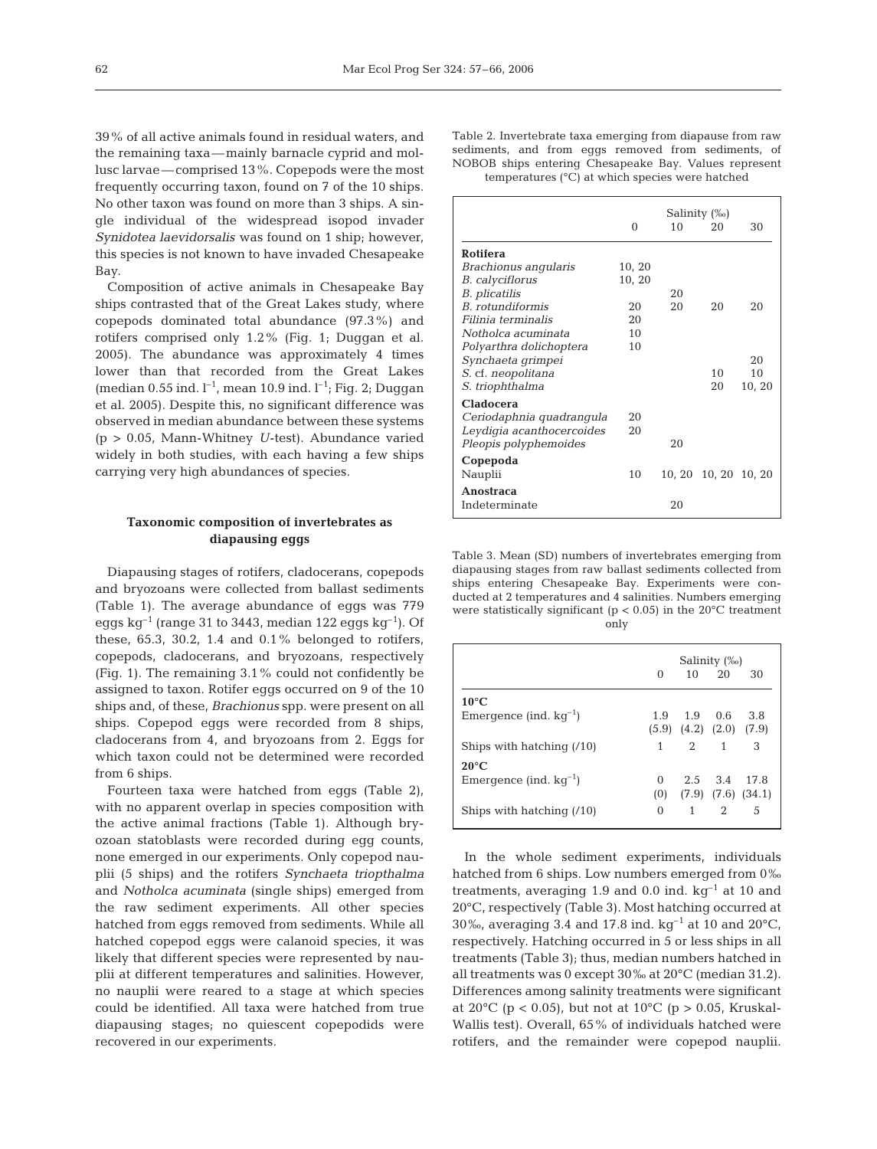39% of all active animals found in residual waters, and the remaining taxa—mainly barnacle cyprid and mollusc larvae—comprised 13%. Copepods were the most frequently occurring taxon, found on 7 of the 10 ships. No other taxon was found on more than 3 ships. A single individual of the widespread isopod invader *Synidotea laevidorsalis* was found on 1 ship; however, this species is not known to have invaded Chesapeake Bay.

Composition of active animals in Chesapeake Bay ships contrasted that of the Great Lakes study, where copepods dominated total abundance (97.3%) and rotifers comprised only 1.2% (Fig. 1; Duggan et al. 2005). The abundance was approximately 4 times lower than that recorded from the Great Lakes (median 0.55 ind.  $l^{-1}$ , mean 10.9 ind.  $l^{-1}$ ; Fig. 2; Duggan et al. 2005). Despite this, no significant difference was observed in median abundance between these systems (p > 0.05, Mann-Whitney *U*-test). Abundance varied widely in both studies, with each having a few ships carrying very high abundances of species.

# **Taxonomic composition of invertebrates as diapausing eggs**

Diapausing stages of rotifers, cladocerans, copepods and bryozoans were collected from ballast sediments (Table 1). The average abundance of eggs was 779 eggs kg<sup>-1</sup> (range 31 to 3443, median 122 eggs kg<sup>-1</sup>). Of these, 65.3, 30.2, 1.4 and 0.1% belonged to rotifers, copepods, cladocerans, and bryozoans, respectively (Fig. 1). The remaining 3.1% could not confidently be assigned to taxon. Rotifer eggs occurred on 9 of the 10 ships and, of these, *Brachionus* spp. were present on all ships. Copepod eggs were recorded from 8 ships, cladocerans from 4, and bryozoans from 2. Eggs for which taxon could not be determined were recorded from 6 ships.

Fourteen taxa were hatched from eggs (Table 2), with no apparent overlap in species composition with the active animal fractions (Table 1). Although bryozoan statoblasts were recorded during egg counts, none emerged in our experiments. Only copepod nauplii (5 ships) and the rotifers *Synchaeta triopthalma* and *Notholca acuminata* (single ships) emerged from the raw sediment experiments. All other species hatched from eggs removed from sediments. While all hatched copepod eggs were calanoid species, it was likely that different species were represented by nauplii at different temperatures and salinities. However, no nauplii were reared to a stage at which species could be identified. All taxa were hatched from true diapausing stages; no quiescent copepodids were recovered in our experiments.

Table 2. Invertebrate taxa emerging from diapause from raw sediments, and from eggs removed from sediments, of NOBOB ships entering Chesapeake Bay. Values represent temperatures (°C) at which species were hatched

|                           | $\Omega$ | 10    | Salinity (‰)<br>20 | 30     |
|---------------------------|----------|-------|--------------------|--------|
| <b>Rotifera</b>           |          |       |                    |        |
| Brachionus angularis      | 10, 20   |       |                    |        |
| <b>B.</b> calyciflorus    | 10, 20   |       |                    |        |
| <i>B. plicatilis</i>      |          | 20    |                    |        |
| B. rotundiformis          | 20       | 20    | 20                 | 20     |
| Filinia terminalis        | 20       |       |                    |        |
| Notholca acuminata        | 10       |       |                    |        |
| Polyarthra dolichoptera   | 10       |       |                    |        |
| Synchaeta grimpei         |          |       |                    | 20     |
| S. cf. neopolitana        |          |       | 1 <sub>0</sub>     | 10     |
| S. triophthalma           |          |       | 20                 | 10, 20 |
| <b>Cladocera</b>          |          |       |                    |        |
| Ceriodaphnia quadranqula  | 20       |       |                    |        |
| Leydigia acanthocercoides | 20       |       |                    |        |
| Pleopis polyphemoides     |          | 20    |                    |        |
| Copepoda                  |          |       |                    |        |
| Nauplii                   | 10       | 10.20 | 10, 20             | 10.20  |
| Anostraca                 |          |       |                    |        |
| Indeterminate             |          | 20    |                    |        |

Table 3. Mean (SD) numbers of invertebrates emerging from diapausing stages from raw ballast sediments collected from ships entering Chesapeake Bay. Experiments were conducted at 2 temperatures and 4 salinities. Numbers emerging were statistically significant ( $p < 0.05$ ) in the 20 $^{\circ}$ C treatment only

|                             | Salinity (‰) |                                                      |              |                                |
|-----------------------------|--------------|------------------------------------------------------|--------------|--------------------------------|
|                             | 0            |                                                      | $10 \t 20$   | 30                             |
| $10^{\circ}$ C              |              |                                                      |              |                                |
| Emergence (ind. $kq^{-1}$ ) |              | $1.9$ $1.9$ $0.6$<br>$(5.9)$ $(4.2)$ $(2.0)$ $(7.9)$ |              | 3.8                            |
| Ships with hatching $(10)$  |              |                                                      | 2 1          | 3                              |
| $20^{\circ}$ C              |              |                                                      |              |                                |
| Emergence (ind. $kq^{-1}$ ) | 0            |                                                      | 2.5 3.4 17.8 |                                |
|                             |              |                                                      |              | $(0)$ $(7.9)$ $(7.6)$ $(34.1)$ |
| Ships with hatching $(10)$  | 0            | 1                                                    | $2^{\circ}$  | 5                              |

In the whole sediment experiments, individuals hatched from 6 ships. Low numbers emerged from 0‰ treatments, averaging 1.9 and 0.0 ind.  $kg^{-1}$  at 10 and 20°C, respectively (Table 3). Most hatching occurred at 30‰, averaging 3.4 and 17.8 ind.  $kg^{-1}$  at 10 and 20°C, respectively. Hatching occurred in 5 or less ships in all treatments (Table 3); thus, median numbers hatched in all treatments was 0 except 30‰ at 20°C (median 31.2). Differences among salinity treatments were significant at 20 $^{\circ}$ C (p < 0.05), but not at 10 $^{\circ}$ C (p > 0.05, Kruskal-Wallis test). Overall, 65% of individuals hatched were rotifers, and the remainder were copepod nauplii.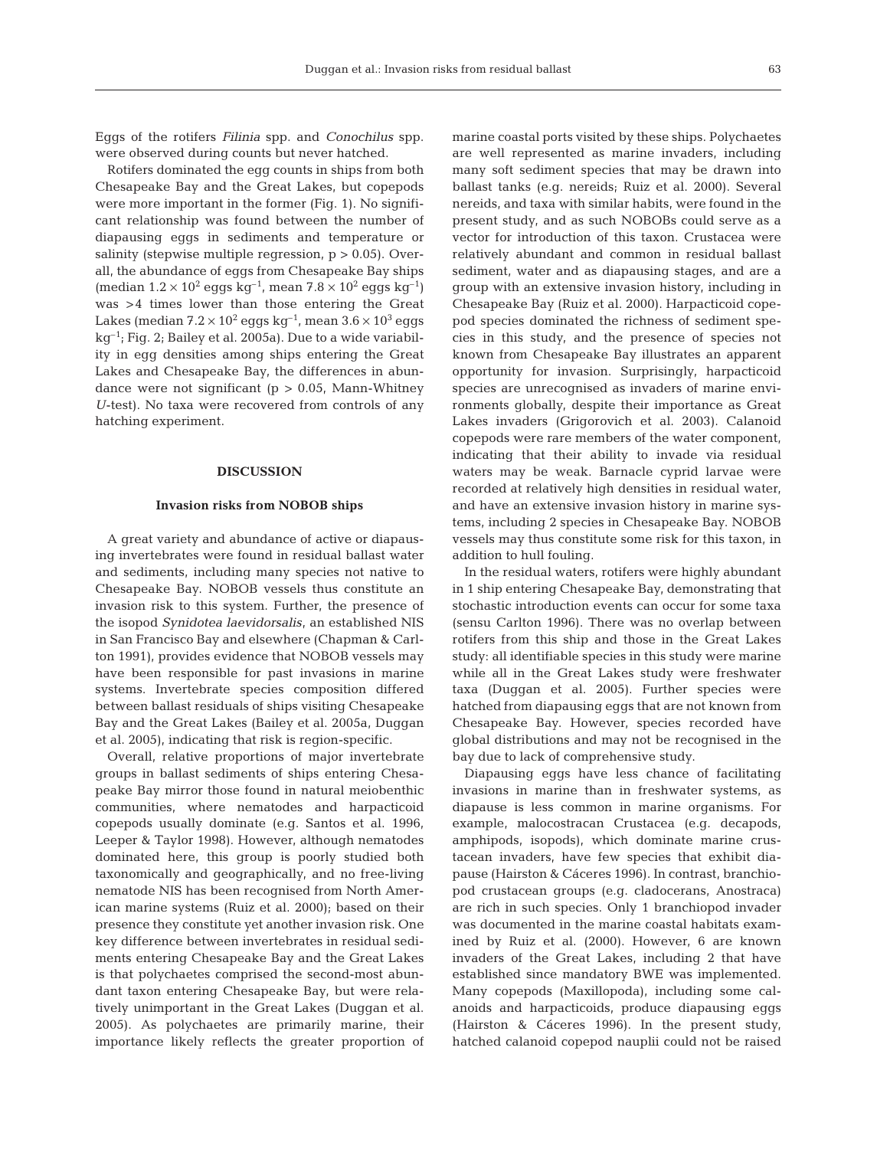Eggs of the rotifers *Filinia* spp. and *Conochilus* spp. were observed during counts but never hatched.

Rotifers dominated the egg counts in ships from both Chesapeake Bay and the Great Lakes, but copepods were more important in the former (Fig. 1). No significant relationship was found between the number of diapausing eggs in sediments and temperature or salinity (stepwise multiple regression,  $p > 0.05$ ). Overall, the abundance of eggs from Chesapeake Bay ships (median  $1.2 \times 10^2$  eggs kg<sup>-1</sup>, mean  $7.8 \times 10^2$  eggs kg<sup>-1</sup>) was >4 times lower than those entering the Great Lakes (median  $7.2 \times 10^2$  eggs kg<sup>-1</sup>, mean  $3.6 \times 10^3$  eggs  $kq^{-1}$ ; Fig. 2; Bailey et al. 2005a). Due to a wide variability in egg densities among ships entering the Great Lakes and Chesapeake Bay, the differences in abundance were not significant (p > 0.05, Mann-Whitney *U*-test). No taxa were recovered from controls of any hatching experiment.

#### **DISCUSSION**

#### **Invasion risks from NOBOB ships**

A great variety and abundance of active or diapausing invertebrates were found in residual ballast water and sediments, including many species not native to Chesapeake Bay. NOBOB vessels thus constitute an invasion risk to this system. Further, the presence of the isopod *Synidotea laevidorsalis*, an established NIS in San Francisco Bay and elsewhere (Chapman & Carlton 1991), provides evidence that NOBOB vessels may have been responsible for past invasions in marine systems. Invertebrate species composition differed between ballast residuals of ships visiting Chesapeake Bay and the Great Lakes (Bailey et al. 2005a, Duggan et al. 2005), indicating that risk is region-specific.

Overall, relative proportions of major invertebrate groups in ballast sediments of ships entering Chesapeake Bay mirror those found in natural meiobenthic communities, where nematodes and harpacticoid copepods usually dominate (e.g. Santos et al. 1996, Leeper & Taylor 1998). However, although nematodes dominated here, this group is poorly studied both taxonomically and geographically, and no free-living nematode NIS has been recognised from North American marine systems (Ruiz et al. 2000); based on their presence they constitute yet another invasion risk. One key difference between invertebrates in residual sediments entering Chesapeake Bay and the Great Lakes is that polychaetes comprised the second-most abundant taxon entering Chesapeake Bay, but were relatively unimportant in the Great Lakes (Duggan et al. 2005). As polychaetes are primarily marine, their importance likely reflects the greater proportion of marine coastal ports visited by these ships. Polychaetes are well represented as marine invaders, including many soft sediment species that may be drawn into ballast tanks (e.g. nereids; Ruiz et al. 2000). Several nereids, and taxa with similar habits, were found in the present study, and as such NOBOBs could serve as a vector for introduction of this taxon. Crustacea were relatively abundant and common in residual ballast sediment, water and as diapausing stages, and are a group with an extensive invasion history, including in Chesapeake Bay (Ruiz et al. 2000). Harpacticoid copepod species dominated the richness of sediment species in this study, and the presence of species not known from Chesapeake Bay illustrates an apparent opportunity for invasion. Surprisingly, harpacticoid species are unrecognised as invaders of marine environments globally, despite their importance as Great Lakes invaders (Grigorovich et al. 2003). Calanoid copepods were rare members of the water component, indicating that their ability to invade via residual waters may be weak. Barnacle cyprid larvae were recorded at relatively high densities in residual water, and have an extensive invasion history in marine systems, including 2 species in Chesapeake Bay. NOBOB vessels may thus constitute some risk for this taxon, in addition to hull fouling.

In the residual waters, rotifers were highly abundant in 1 ship entering Chesapeake Bay, demonstrating that stochastic introduction events can occur for some taxa (sensu Carlton 1996). There was no overlap between rotifers from this ship and those in the Great Lakes study: all identifiable species in this study were marine while all in the Great Lakes study were freshwater taxa (Duggan et al. 2005). Further species were hatched from diapausing eggs that are not known from Chesapeake Bay. However, species recorded have global distributions and may not be recognised in the bay due to lack of comprehensive study.

Diapausing eggs have less chance of facilitating invasions in marine than in freshwater systems, as diapause is less common in marine organisms. For example, malocostracan Crustacea (e.g. decapods, amphipods, isopods), which dominate marine crustacean invaders, have few species that exhibit diapause (Hairston & Cáceres 1996). In contrast, branchiopod crustacean groups (e.g. cladocerans, Anostraca) are rich in such species. Only 1 branchiopod invader was documented in the marine coastal habitats examined by Ruiz et al. (2000). However, 6 are known invaders of the Great Lakes, including 2 that have established since mandatory BWE was implemented. Many copepods (Maxillopoda), including some calanoids and harpacticoids, produce diapausing eggs (Hairston & Cáceres 1996). In the present study, hatched calanoid copepod nauplii could not be raised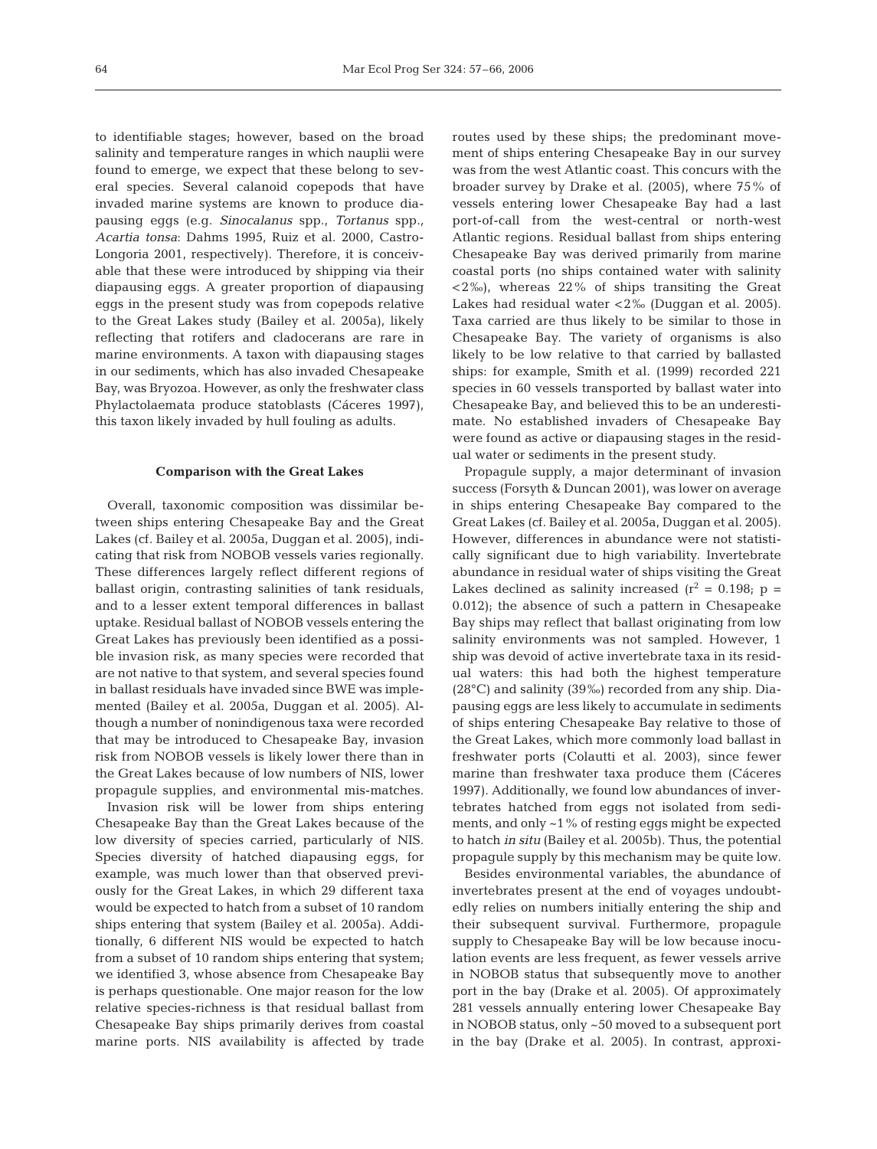to identifiable stages; however, based on the broad salinity and temperature ranges in which nauplii were found to emerge, we expect that these belong to several species. Several calanoid copepods that have invaded marine systems are known to produce diapausing eggs (e.g. *Sinocalanus* spp., *Tortanus* spp.*, Acartia tonsa*: Dahms 1995, Ruiz et al. 2000, Castro-Longoria 2001, respectively). Therefore, it is conceivable that these were introduced by shipping via their diapausing eggs. A greater proportion of diapausing eggs in the present study was from copepods relative to the Great Lakes study (Bailey et al. 2005a), likely reflecting that rotifers and cladocerans are rare in marine environments. A taxon with diapausing stages in our sediments, which has also invaded Chesapeake Bay, was Bryozoa. However, as only the freshwater class Phylactolaemata produce statoblasts (Cáceres 1997), this taxon likely invaded by hull fouling as adults.

#### **Comparison with the Great Lakes**

Overall, taxonomic composition was dissimilar between ships entering Chesapeake Bay and the Great Lakes (cf. Bailey et al. 2005a, Duggan et al. 2005), indicating that risk from NOBOB vessels varies regionally. These differences largely reflect different regions of ballast origin, contrasting salinities of tank residuals, and to a lesser extent temporal differences in ballast uptake. Residual ballast of NOBOB vessels entering the Great Lakes has previously been identified as a possible invasion risk, as many species were recorded that are not native to that system, and several species found in ballast residuals have invaded since BWE was implemented (Bailey et al. 2005a, Duggan et al. 2005). Although a number of nonindigenous taxa were recorded that may be introduced to Chesapeake Bay, invasion risk from NOBOB vessels is likely lower there than in the Great Lakes because of low numbers of NIS, lower propagule supplies, and environmental mis-matches.

Invasion risk will be lower from ships entering Chesapeake Bay than the Great Lakes because of the low diversity of species carried, particularly of NIS. Species diversity of hatched diapausing eggs, for example, was much lower than that observed previously for the Great Lakes, in which 29 different taxa would be expected to hatch from a subset of 10 random ships entering that system (Bailey et al. 2005a). Additionally, 6 different NIS would be expected to hatch from a subset of 10 random ships entering that system; we identified 3, whose absence from Chesapeake Bay is perhaps questionable. One major reason for the low relative species-richness is that residual ballast from Chesapeake Bay ships primarily derives from coastal marine ports. NIS availability is affected by trade

routes used by these ships; the predominant movement of ships entering Chesapeake Bay in our survey was from the west Atlantic coast. This concurs with the broader survey by Drake et al. (2005), where 75% of vessels entering lower Chesapeake Bay had a last port-of-call from the west-central or north-west Atlantic regions. Residual ballast from ships entering Chesapeake Bay was derived primarily from marine coastal ports (no ships contained water with salinity <2‰), whereas 22% of ships transiting the Great Lakes had residual water <2‰ (Duggan et al. 2005). Taxa carried are thus likely to be similar to those in Chesapeake Bay. The variety of organisms is also likely to be low relative to that carried by ballasted ships: for example, Smith et al. (1999) recorded 221 species in 60 vessels transported by ballast water into Chesapeake Bay, and believed this to be an underestimate. No established invaders of Chesapeake Bay were found as active or diapausing stages in the residual water or sediments in the present study.

Propagule supply, a major determinant of invasion success (Forsyth & Duncan 2001), was lower on average in ships entering Chesapeake Bay compared to the Great Lakes (cf. Bailey et al. 2005a, Duggan et al. 2005). However, differences in abundance were not statistically significant due to high variability. Invertebrate abundance in residual water of ships visiting the Great Lakes declined as salinity increased  $(r^2 = 0.198; p =$ 0.012); the absence of such a pattern in Chesapeake Bay ships may reflect that ballast originating from low salinity environments was not sampled. However, 1 ship was devoid of active invertebrate taxa in its residual waters: this had both the highest temperature (28°C) and salinity (39‰) recorded from any ship. Diapausing eggs are less likely to accumulate in sediments of ships entering Chesapeake Bay relative to those of the Great Lakes, which more commonly load ballast in freshwater ports (Colautti et al. 2003), since fewer marine than freshwater taxa produce them (Cáceres 1997). Additionally, we found low abundances of invertebrates hatched from eggs not isolated from sediments, and only  $\sim$  1% of resting eggs might be expected to hatch *in situ* (Bailey et al. 2005b). Thus, the potential propagule supply by this mechanism may be quite low.

Besides environmental variables, the abundance of invertebrates present at the end of voyages undoubtedly relies on numbers initially entering the ship and their subsequent survival. Furthermore, propagule supply to Chesapeake Bay will be low because inoculation events are less frequent, as fewer vessels arrive in NOBOB status that subsequently move to another port in the bay (Drake et al. 2005). Of approximately 281 vessels annually entering lower Chesapeake Bay in NOBOB status, only ~50 moved to a subsequent port in the bay (Drake et al. 2005). In contrast, approxi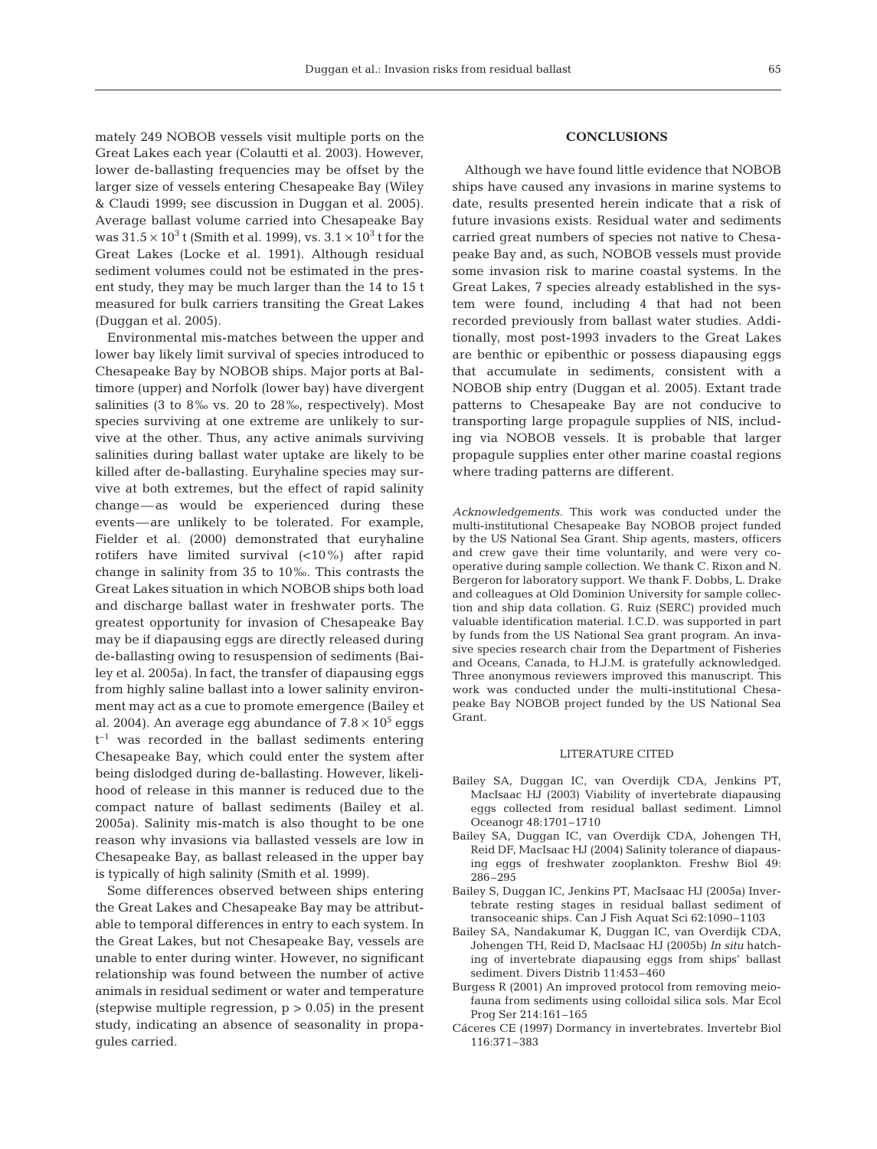mately 249 NOBOB vessels visit multiple ports on the Great Lakes each year (Colautti et al. 2003). However, lower de-ballasting frequencies may be offset by the larger size of vessels entering Chesapeake Bay (Wiley & Claudi 1999; see discussion in Duggan et al. 2005). Average ballast volume carried into Chesapeake Bay was  $31.5 \times 10^3$  t (Smith et al. 1999), vs.  $3.1 \times 10^3$  t for the Great Lakes (Locke et al. 1991). Although residual sediment volumes could not be estimated in the present study, they may be much larger than the 14 to 15 t measured for bulk carriers transiting the Great Lakes (Duggan et al. 2005).

Environmental mis-matches between the upper and lower bay likely limit survival of species introduced to Chesapeake Bay by NOBOB ships. Major ports at Baltimore (upper) and Norfolk (lower bay) have divergent salinities (3 to 8‰ vs. 20 to 28‰, respectively). Most species surviving at one extreme are unlikely to survive at the other. Thus, any active animals surviving salinities during ballast water uptake are likely to be killed after de-ballasting. Euryhaline species may survive at both extremes, but the effect of rapid salinity change—as would be experienced during these events—are unlikely to be tolerated. For example, Fielder et al. (2000) demonstrated that euryhaline rotifers have limited survival (<10%) after rapid change in salinity from 35 to 10‰. This contrasts the Great Lakes situation in which NOBOB ships both load and discharge ballast water in freshwater ports. The greatest opportunity for invasion of Chesapeake Bay may be if diapausing eggs are directly released during de-ballasting owing to resuspension of sediments (Bailey et al. 2005a). In fact, the transfer of diapausing eggs from highly saline ballast into a lower salinity environment may act as a cue to promote emergence (Bailey et al. 2004). An average egg abundance of  $7.8 \times 10^5$  eggs  $t^{-1}$  was recorded in the ballast sediments entering Chesapeake Bay, which could enter the system after being dislodged during de-ballasting. However, likelihood of release in this manner is reduced due to the compact nature of ballast sediments (Bailey et al. 2005a). Salinity mis-match is also thought to be one reason why invasions via ballasted vessels are low in Chesapeake Bay, as ballast released in the upper bay is typically of high salinity (Smith et al. 1999).

Some differences observed between ships entering the Great Lakes and Chesapeake Bay may be attributable to temporal differences in entry to each system. In the Great Lakes, but not Chesapeake Bay, vessels are unable to enter during winter. However, no significant relationship was found between the number of active animals in residual sediment or water and temperature (stepwise multiple regression,  $p > 0.05$ ) in the present study, indicating an absence of seasonality in propagules carried.

## **CONCLUSIONS**

Although we have found little evidence that NOBOB ships have caused any invasions in marine systems to date, results presented herein indicate that a risk of future invasions exists. Residual water and sediments carried great numbers of species not native to Chesapeake Bay and, as such, NOBOB vessels must provide some invasion risk to marine coastal systems. In the Great Lakes, 7 species already established in the system were found, including 4 that had not been recorded previously from ballast water studies. Additionally, most post-1993 invaders to the Great Lakes are benthic or epibenthic or possess diapausing eggs that accumulate in sediments, consistent with a NOBOB ship entry (Duggan et al. 2005). Extant trade patterns to Chesapeake Bay are not conducive to transporting large propagule supplies of NIS, including via NOBOB vessels. It is probable that larger propagule supplies enter other marine coastal regions where trading patterns are different.

*Acknowledgements.* This work was conducted under the multi-institutional Chesapeake Bay NOBOB project funded by the US National Sea Grant. Ship agents, masters, officers and crew gave their time voluntarily, and were very cooperative during sample collection. We thank C. Rixon and N. Bergeron for laboratory support. We thank F. Dobbs, L. Drake and colleagues at Old Dominion University for sample collection and ship data collation. G. Ruiz (SERC) provided much valuable identification material. I.C.D. was supported in part by funds from the US National Sea grant program. An invasive species research chair from the Department of Fisheries and Oceans, Canada, to H.J.M. is gratefully acknowledged. Three anonymous reviewers improved this manuscript. This work was conducted under the multi-institutional Chesapeake Bay NOBOB project funded by the US National Sea Grant.

#### LITERATURE CITED

- Bailey SA, Duggan IC, van Overdijk CDA, Jenkins PT, MacIsaac HJ (2003) Viability of invertebrate diapausing eggs collected from residual ballast sediment. Limnol Oceanogr 48:1701–1710
- Bailey SA, Duggan IC, van Overdijk CDA, Johengen TH, Reid DF, MacIsaac HJ (2004) Salinity tolerance of diapausing eggs of freshwater zooplankton. Freshw Biol 49: 286–295
- Bailey S, Duggan IC, Jenkins PT, MacIsaac HJ (2005a) Invertebrate resting stages in residual ballast sediment of transoceanic ships. Can J Fish Aquat Sci 62:1090–1103
- Bailey SA, Nandakumar K, Duggan IC, van Overdijk CDA, Johengen TH, Reid D, MacIsaac HJ (2005b) *In situ* hatching of invertebrate diapausing eggs from ships' ballast sediment. Divers Distrib 11:453–460
- Burgess R (2001) An improved protocol from removing meiofauna from sediments using colloidal silica sols. Mar Ecol Prog Ser 214:161–165
- Cáceres CE (1997) Dormancy in invertebrates. Invertebr Biol 116:371–383